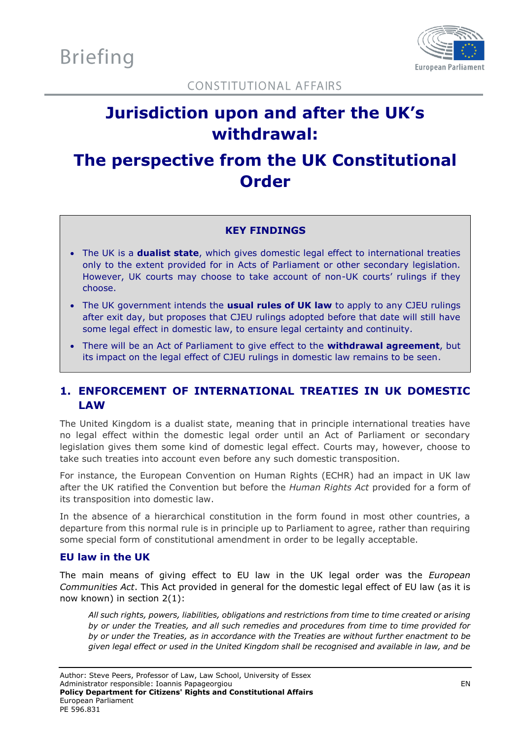

**CONSTITUTIONAL AFFAIRS** 

# **Jurisdiction upon and after the UK's withdrawal:**

## **The perspective from the UK Constitutional Order**

## **KEY FINDINGS**

- The UK is a **dualist state**, which gives domestic legal effect to international treaties only to the extent provided for in Acts of Parliament or other secondary legislation. However, UK courts may choose to take account of non-UK courts' rulings if they choose.
- The UK government intends the **usual rules of UK law** to apply to any CJEU rulings after exit day, but proposes that CJEU rulings adopted before that date will still have some legal effect in domestic law, to ensure legal certainty and continuity.
- There will be an Act of Parliament to give effect to the **withdrawal agreement**, but its impact on the legal effect of CJEU rulings in domestic law remains to be seen.

## **1. ENFORCEMENT OF INTERNATIONAL TREATIES IN UK DOMESTIC LAW**

The United Kingdom is a dualist state, meaning that in principle international treaties have no legal effect within the domestic legal order until an Act of Parliament or secondary legislation gives them some kind of domestic legal effect. Courts may, however, choose to take such treaties into account even before any such domestic transposition.

For instance, the European Convention on Human Rights (ECHR) had an impact in UK law after the UK ratified the Convention but before the *Human Rights Act* provided for a form of its transposition into domestic law.

In the absence of a hierarchical constitution in the form found in most other countries, a departure from this normal rule is in principle up to Parliament to agree, rather than requiring some special form of constitutional amendment in order to be legally acceptable.

## **EU law in the UK**

The main means of giving effect to EU law in the UK legal order was the *European Communities Act*. This Act provided in general for the domestic legal effect of EU law (as it is now known) in section 2(1):

*All such rights, powers, liabilities, obligations and restrictions from time to time created or arising by or under the Treaties, and all such remedies and procedures from time to time provided for by or under the Treaties, as in accordance with the Treaties are without further enactment to be given legal effect or used in the United Kingdom shall be recognised and available in law, and be*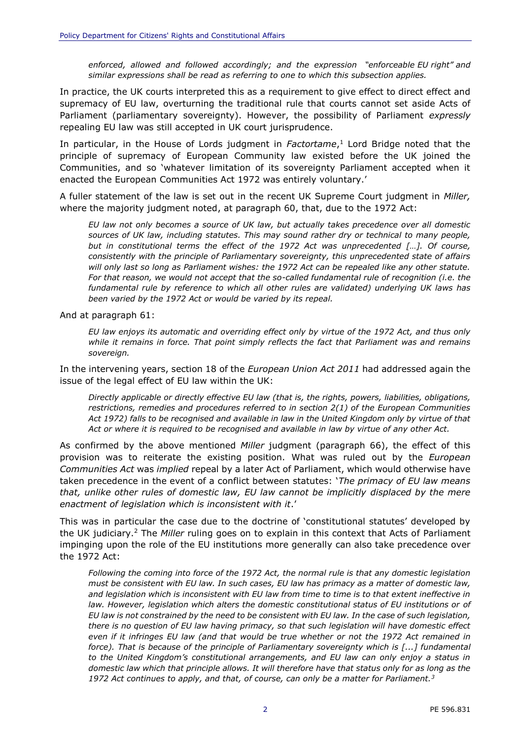*enforced, allowed and followed accordingly; and the expression "enforceable EU right" and similar expressions shall be read as referring to one to which this subsection applies.*

In practice, the UK courts interpreted this as a requirement to give effect to direct effect and supremacy of EU law, overturning the traditional rule that courts cannot set aside Acts of Parliament (parliamentary sovereignty). However, the possibility of Parliament *expressly* repealing EU law was still accepted in UK court jurisprudence.

In particular, in the House of Lords judgment in *Factortame*, <sup>1</sup> Lord Bridge noted that the principle of supremacy of European Community law existed before the UK joined the Communities, and so 'whatever limitation of its sovereignty Parliament accepted when it enacted the European Communities Act 1972 was entirely voluntary.'

A fuller statement of the law is set out in the recent UK Supreme Court judgment in *Miller,*  where the majority judgment noted, at paragraph 60, that, due to the 1972 Act:

*EU law not only becomes a source of UK law, but actually takes precedence over all domestic sources of UK law, including statutes. This may sound rather dry or technical to many people, but in constitutional terms the effect of the 1972 Act was unprecedented […]. Of course, consistently with the principle of Parliamentary sovereignty, this unprecedented state of affairs will only last so long as Parliament wishes: the 1972 Act can be repealed like any other statute. For that reason, we would not accept that the so-called fundamental rule of recognition (i.e. the fundamental rule by reference to which all other rules are validated) underlying UK laws has been varied by the 1972 Act or would be varied by its repeal.* 

And at paragraph 61:

*EU law enjoys its automatic and overriding effect only by virtue of the 1972 Act, and thus only while it remains in force. That point simply reflects the fact that Parliament was and remains sovereign.*

In the intervening years, section 18 of the *European Union Act 2011* had addressed again the issue of the legal effect of EU law within the UK:

*Directly applicable or directly effective EU law (that is, the rights, powers, liabilities, obligations, restrictions, remedies and procedures referred to in section 2(1) of the European Communities Act 1972) falls to be recognised and available in law in the United Kingdom only by virtue of that Act or where it is required to be recognised and available in law by virtue of any other Act.*

As confirmed by the above mentioned *Miller* judgment (paragraph 66), the effect of this provision was to reiterate the existing position. What was ruled out by the *European Communities Act* was *implied* repeal by a later Act of Parliament, which would otherwise have taken precedence in the event of a conflict between statutes: '*The primacy of EU law means that, unlike other rules of domestic law, EU law cannot be implicitly displaced by the mere enactment of legislation which is inconsistent with it*.'

This was in particular the case due to the doctrine of 'constitutional statutes' developed by the UK judiciary.<sup>2</sup> The *Miller* ruling goes on to explain in this context that Acts of Parliament impinging upon the role of the EU institutions more generally can also take precedence over the 1972 Act:

*Following the coming into force of the 1972 Act, the normal rule is that any domestic legislation must be consistent with EU law. In such cases, EU law has primacy as a matter of domestic law, and legislation which is inconsistent with EU law from time to time is to that extent ineffective in law. However, legislation which alters the domestic constitutional status of EU institutions or of EU law is not constrained by the need to be consistent with EU law. In the case of such legislation, there is no question of EU law having primacy, so that such legislation will have domestic effect even if it infringes EU law (and that would be true whether or not the 1972 Act remained in force). That is because of the principle of Parliamentary sovereignty which is [...] fundamental to the United Kingdom's constitutional arrangements, and EU law can only enjoy a status in domestic law which that principle allows. It will therefore have that status only for as long as the 1972 Act continues to apply, and that, of course, can only be a matter for Parliament.3*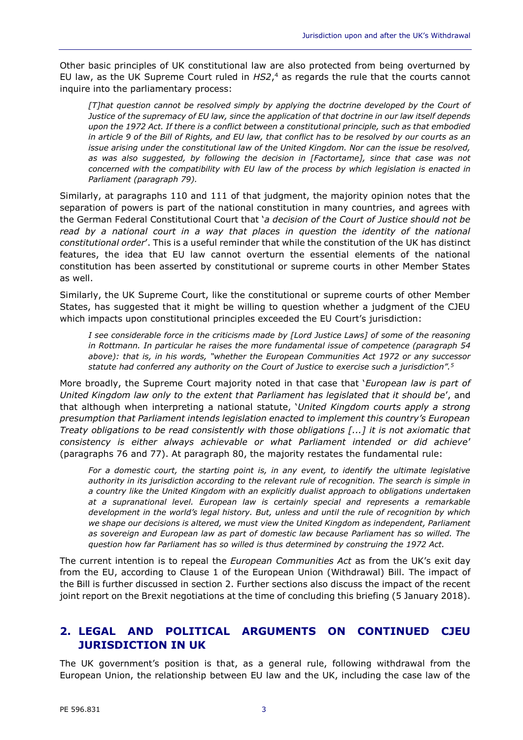Other basic principles of UK constitutional law are also protected from being overturned by EU law, as the UK Supreme Court ruled in *HS2*, <sup>4</sup> as regards the rule that the courts cannot inquire into the parliamentary process:

*[T]hat question cannot be resolved simply by applying the doctrine developed by the Court of Justice of the supremacy of EU law, since the application of that doctrine in our law itself depends upon the 1972 Act. If there is a conflict between a constitutional principle, such as that embodied in article 9 of the Bill of Rights, and EU law, that conflict has to be resolved by our courts as an issue arising under the constitutional law of the United Kingdom. Nor can the issue be resolved, as was also suggested, by following the decision in [Factortame], since that case was not concerned with the compatibility with EU law of the process by which legislation is enacted in Parliament (paragraph 79).*

Similarly, at paragraphs 110 and 111 of that judgment, the majority opinion notes that the separation of powers is part of the national constitution in many countries, and agrees with the German Federal Constitutional Court that '*a decision of the Court of Justice should not be*  read by a national court in a way that places in question the identity of the national *constitutional order*'. This is a useful reminder that while the constitution of the UK has distinct features, the idea that EU law cannot overturn the essential elements of the national constitution has been asserted by constitutional or supreme courts in other Member States as well.

Similarly, the UK Supreme Court, like the constitutional or supreme courts of other Member States, has suggested that it might be willing to question whether a judgment of the CJEU which impacts upon constitutional principles exceeded the EU Court's jurisdiction:

*I see considerable force in the criticisms made by [Lord Justice Laws] of some of the reasoning in Rottmann. In particular he raises the more fundamental issue of competence (paragraph 54 above): that is, in his words, "whether the European Communities Act 1972 or any successor statute had conferred any authority on the Court of Justice to exercise such a jurisdiction".<sup>5</sup>*

More broadly, the Supreme Court majority noted in that case that '*European law is part of United Kingdom law only to the extent that Parliament has legislated that it should be*', and that although when interpreting a national statute, '*United Kingdom courts apply a strong presumption that Parliament intends legislation enacted to implement this country's European Treaty obligations to be read consistently with those obligations [...] it is not axiomatic that consistency is either always achievable or what Parliament intended or did achieve*' (paragraphs 76 and 77). At paragraph 80, the majority restates the fundamental rule:

*For a domestic court, the starting point is, in any event, to identify the ultimate legislative authority in its jurisdiction according to the relevant rule of recognition. The search is simple in a country like the United Kingdom with an explicitly dualist approach to obligations undertaken at a supranational level. European law is certainly special and represents a remarkable development in the world's legal history. But, unless and until the rule of recognition by which we shape our decisions is altered, we must view the United Kingdom as independent, Parliament as sovereign and European law as part of domestic law because Parliament has so willed. The question how far Parliament has so willed is thus determined by construing the 1972 Act.*

The current intention is to repeal the *European Communities Act* as from the UK's exit day from the EU, according to Clause 1 of the European Union (Withdrawal) Bill. The impact of the Bill is further discussed in section 2. Further sections also discuss the impact of the recent joint report on the Brexit negotiations at the time of concluding this briefing (5 January 2018).

## **2. LEGAL AND POLITICAL ARGUMENTS ON CONTINUED CJEU JURISDICTION IN UK**

The UK government's position is that, as a general rule, following withdrawal from the European Union, the relationship between EU law and the UK, including the case law of the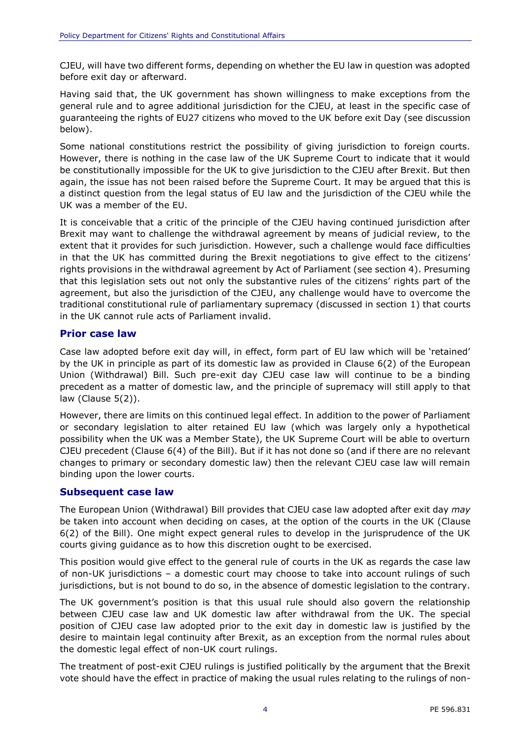CJEU, will have two different forms, depending on whether the EU law in question was adopted before exit day or afterward.

Having said that, the UK government has shown willingness to make exceptions from the general rule and to agree additional jurisdiction for the CJEU, at least in the specific case of guaranteeing the rights of EU27 citizens who moved to the UK before exit Day (see discussion below).

Some national constitutions restrict the possibility of giving jurisdiction to foreign courts. However, there is nothing in the case law of the UK Supreme Court to indicate that it would be constitutionally impossible for the UK to give jurisdiction to the CJEU after Brexit. But then again, the issue has not been raised before the Supreme Court. It may be argued that this is a distinct question from the legal status of EU law and the jurisdiction of the CJEU while the UK was a member of the EU.

It is conceivable that a critic of the principle of the CJEU having continued jurisdiction after Brexit may want to challenge the withdrawal agreement by means of judicial review, to the extent that it provides for such jurisdiction. However, such a challenge would face difficulties in that the UK has committed during the Brexit negotiations to give effect to the citizens' rights provisions in the withdrawal agreement by Act of Parliament (see section 4). Presuming that this legislation sets out not only the substantive rules of the citizens' rights part of the agreement, but also the jurisdiction of the CJEU, any challenge would have to overcome the traditional constitutional rule of parliamentary supremacy (discussed in section 1) that courts in the UK cannot rule acts of Parliament invalid.

### **Prior case law**

Case law adopted before exit day will, in effect, form part of EU law which will be 'retained' by the UK in principle as part of its domestic law as provided in Clause 6(2) of the European Union (Withdrawal) Bill. Such pre-exit day CJEU case law will continue to be a binding precedent as a matter of domestic law, and the principle of supremacy will still apply to that law (Clause 5(2)).

However, there are limits on this continued legal effect. In addition to the power of Parliament or secondary legislation to alter retained EU law (which was largely only a hypothetical possibility when the UK was a Member State), the UK Supreme Court will be able to overturn CJEU precedent (Clause 6(4) of the Bill). But if it has not done so (and if there are no relevant changes to primary or secondary domestic law) then the relevant CJEU case law will remain binding upon the lower courts.

#### **Subsequent case law**

The European Union (Withdrawal) Bill provides that CJEU case law adopted after exit day *may* be taken into account when deciding on cases, at the option of the courts in the UK (Clause 6(2) of the Bill). One might expect general rules to develop in the jurisprudence of the UK courts giving guidance as to how this discretion ought to be exercised.

This position would give effect to the general rule of courts in the UK as regards the case law of non-UK jurisdictions – a domestic court may choose to take into account rulings of such jurisdictions, but is not bound to do so, in the absence of domestic legislation to the contrary.

The UK government's position is that this usual rule should also govern the relationship between CJEU case law and UK domestic law after withdrawal from the UK. The special position of CJEU case law adopted prior to the exit day in domestic law is justified by the desire to maintain legal continuity after Brexit, as an exception from the normal rules about the domestic legal effect of non-UK court rulings.

The treatment of post-exit CJEU rulings is justified politically by the argument that the Brexit vote should have the effect in practice of making the usual rules relating to the rulings of non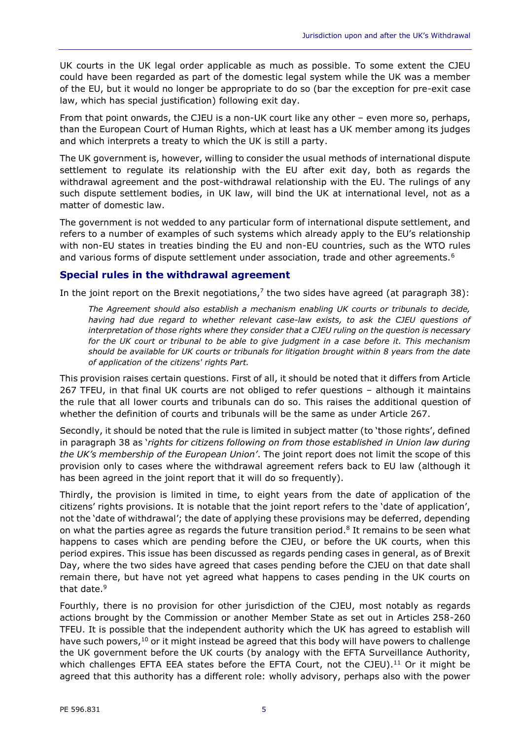UK courts in the UK legal order applicable as much as possible. To some extent the CJEU could have been regarded as part of the domestic legal system while the UK was a member of the EU, but it would no longer be appropriate to do so (bar the exception for pre-exit case law, which has special justification) following exit day.

From that point onwards, the CJEU is a non-UK court like any other – even more so, perhaps, than the European Court of Human Rights, which at least has a UK member among its judges and which interprets a treaty to which the UK is still a party.

The UK government is, however, willing to consider the usual methods of international dispute settlement to regulate its relationship with the EU after exit day, both as regards the withdrawal agreement and the post-withdrawal relationship with the EU. The rulings of any such dispute settlement bodies, in UK law, will bind the UK at international level, not as a matter of domestic law.

The government is not wedded to any particular form of international dispute settlement, and refers to a number of examples of such systems which already apply to the EU's relationship with non-EU states in treaties binding the EU and non-EU countries, such as the WTO rules and various forms of dispute settlement under association, trade and other agreements.<sup>6</sup>

### **Special rules in the withdrawal agreement**

In the joint report on the Brexit negotiations,<sup>7</sup> the two sides have agreed (at paragraph 38):

*The Agreement should also establish a mechanism enabling UK courts or tribunals to decide, having had due regard to whether relevant case-law exists, to ask the CJEU questions of interpretation of those rights where they consider that a CJEU ruling on the question is necessary for the UK court or tribunal to be able to give judgment in a case before it. This mechanism should be available for UK courts or tribunals for litigation brought within 8 years from the date of application of the citizens' rights Part.*

This provision raises certain questions. First of all, it should be noted that it differs from Article 267 TFEU, in that final UK courts are not obliged to refer questions – although it maintains the rule that all lower courts and tribunals can do so. This raises the additional question of whether the definition of courts and tribunals will be the same as under Article 267.

Secondly, it should be noted that the rule is limited in subject matter (to 'those rights', defined in paragraph 38 as '*rights for citizens following on from those established in Union law during the UK's membership of the European Union'*. The joint report does not limit the scope of this provision only to cases where the withdrawal agreement refers back to EU law (although it has been agreed in the joint report that it will do so frequently).

Thirdly, the provision is limited in time, to eight years from the date of application of the citizens' rights provisions. It is notable that the joint report refers to the 'date of application', not the 'date of withdrawal'; the date of applying these provisions may be deferred, depending on what the parties agree as regards the future transition period.<sup>8</sup> It remains to be seen what happens to cases which are pending before the CJEU, or before the UK courts, when this period expires. This issue has been discussed as regards pending cases in general, as of Brexit Day, where the two sides have agreed that cases pending before the CJEU on that date shall remain there, but have not yet agreed what happens to cases pending in the UK courts on that date.<sup>9</sup>

Fourthly, there is no provision for other jurisdiction of the CJEU, most notably as regards actions brought by the Commission or another Member State as set out in Articles 258-260 TFEU. It is possible that the independent authority which the UK has agreed to establish will have such powers,<sup>10</sup> or it might instead be agreed that this body will have powers to challenge the UK government before the UK courts (by analogy with the EFTA Surveillance Authority, which challenges EFTA EEA states before the EFTA Court, not the CJEU). $^{11}$  Or it might be agreed that this authority has a different role: wholly advisory, perhaps also with the power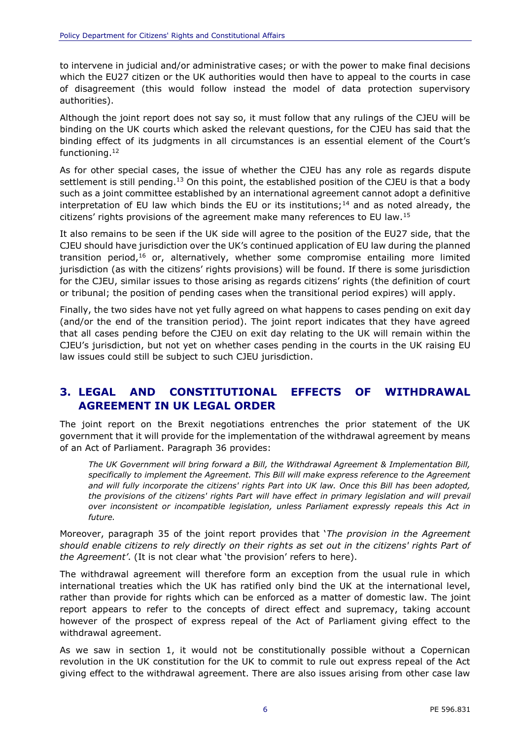to intervene in judicial and/or administrative cases; or with the power to make final decisions which the EU27 citizen or the UK authorities would then have to appeal to the courts in case of disagreement (this would follow instead the model of data protection supervisory authorities).

Although the joint report does not say so, it must follow that any rulings of the CJEU will be binding on the UK courts which asked the relevant questions, for the CJEU has said that the binding effect of its judgments in all circumstances is an essential element of the Court's functioning.<sup>12</sup>

As for other special cases, the issue of whether the CJEU has any role as regards dispute settlement is still pending.<sup>13</sup> On this point, the established position of the CJEU is that a body such as a joint committee established by an international agreement cannot adopt a definitive interpretation of EU law which binds the EU or its institutions;<sup>14</sup> and as noted already, the citizens' rights provisions of the agreement make many references to EU law.<sup>15</sup>

It also remains to be seen if the UK side will agree to the position of the EU27 side, that the CJEU should have jurisdiction over the UK's continued application of EU law during the planned transition period,<sup>16</sup> or, alternatively, whether some compromise entailing more limited jurisdiction (as with the citizens' rights provisions) will be found. If there is some jurisdiction for the CJEU, similar issues to those arising as regards citizens' rights (the definition of court or tribunal; the position of pending cases when the transitional period expires) will apply.

Finally, the two sides have not yet fully agreed on what happens to cases pending on exit day (and/or the end of the transition period). The joint report indicates that they have agreed that all cases pending before the CJEU on exit day relating to the UK will remain within the CJEU's jurisdiction, but not yet on whether cases pending in the courts in the UK raising EU law issues could still be subject to such CJEU jurisdiction.

## **3. LEGAL AND CONSTITUTIONAL EFFECTS OF WITHDRAWAL AGREEMENT IN UK LEGAL ORDER**

The joint report on the Brexit negotiations entrenches the prior statement of the UK government that it will provide for the implementation of the withdrawal agreement by means of an Act of Parliament. Paragraph 36 provides:

*The UK Government will bring forward a Bill, the Withdrawal Agreement & Implementation Bill, specifically to implement the Agreement. This Bill will make express reference to the Agreement and will fully incorporate the citizens' rights Part into UK law. Once this Bill has been adopted, the provisions of the citizens' rights Part will have effect in primary legislation and will prevail over inconsistent or incompatible legislation, unless Parliament expressly repeals this Act in future.*

Moreover, paragraph 35 of the joint report provides that '*The provision in the Agreement should enable citizens to rely directly on their rights as set out in the citizens' rights Part of the Agreement'*. (It is not clear what 'the provision' refers to here).

The withdrawal agreement will therefore form an exception from the usual rule in which international treaties which the UK has ratified only bind the UK at the international level, rather than provide for rights which can be enforced as a matter of domestic law. The joint report appears to refer to the concepts of direct effect and supremacy, taking account however of the prospect of express repeal of the Act of Parliament giving effect to the withdrawal agreement.

As we saw in section 1, it would not be constitutionally possible without a Copernican revolution in the UK constitution for the UK to commit to rule out express repeal of the Act giving effect to the withdrawal agreement. There are also issues arising from other case law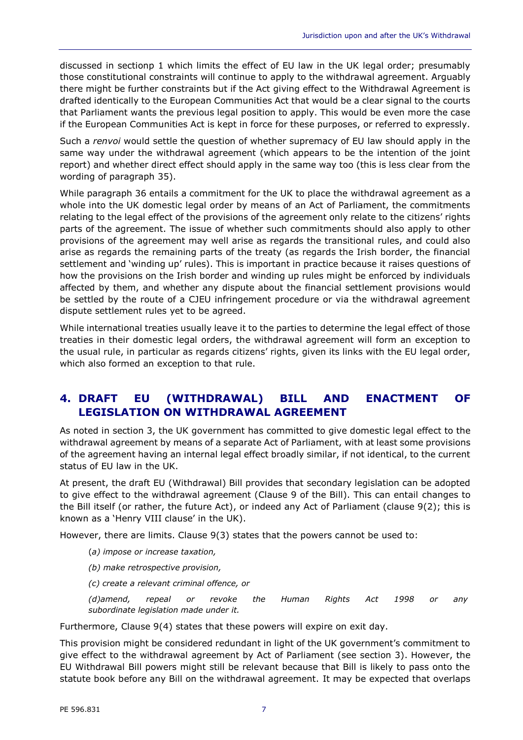discussed in sectionp 1 which limits the effect of EU law in the UK legal order; presumably those constitutional constraints will continue to apply to the withdrawal agreement. Arguably there might be further constraints but if the Act giving effect to the Withdrawal Agreement is drafted identically to the European Communities Act that would be a clear signal to the courts that Parliament wants the previous legal position to apply. This would be even more the case if the European Communities Act is kept in force for these purposes, or referred to expressly.

Such a *renvoi* would settle the question of whether supremacy of EU law should apply in the same way under the withdrawal agreement (which appears to be the intention of the joint report) and whether direct effect should apply in the same way too (this is less clear from the wording of paragraph 35).

While paragraph 36 entails a commitment for the UK to place the withdrawal agreement as a whole into the UK domestic legal order by means of an Act of Parliament, the commitments relating to the legal effect of the provisions of the agreement only relate to the citizens' rights parts of the agreement. The issue of whether such commitments should also apply to other provisions of the agreement may well arise as regards the transitional rules, and could also arise as regards the remaining parts of the treaty (as regards the Irish border, the financial settlement and 'winding up' rules). This is important in practice because it raises questions of how the provisions on the Irish border and winding up rules might be enforced by individuals affected by them, and whether any dispute about the financial settlement provisions would be settled by the route of a CJEU infringement procedure or via the withdrawal agreement dispute settlement rules yet to be agreed.

While international treaties usually leave it to the parties to determine the legal effect of those treaties in their domestic legal orders, the withdrawal agreement will form an exception to the usual rule, in particular as regards citizens' rights, given its links with the EU legal order, which also formed an exception to that rule.

## **4. DRAFT EU (WITHDRAWAL) BILL AND ENACTMENT OF LEGISLATION ON WITHDRAWAL AGREEMENT**

As noted in section 3, the UK government has committed to give domestic legal effect to the withdrawal agreement by means of a separate Act of Parliament, with at least some provisions of the agreement having an internal legal effect broadly similar, if not identical, to the current status of EU law in the UK.

At present, the draft EU (Withdrawal) Bill provides that secondary legislation can be adopted to give effect to the withdrawal agreement (Clause 9 of the Bill). This can entail changes to the Bill itself (or rather, the future Act), or indeed any Act of Parliament (clause 9(2); this is known as a 'Henry VIII clause' in the UK).

However, there are limits. Clause 9(3) states that the powers cannot be used to:

- (*a) impose or increase taxation,*
- *(b) make retrospective provision,*
- *(c) create a relevant criminal offence, or*

*(d)amend, repeal or revoke the Human Rights Act 1998 or any subordinate legislation made under it.*

Furthermore, Clause 9(4) states that these powers will expire on exit day.

This provision might be considered redundant in light of the UK government's commitment to give effect to the withdrawal agreement by Act of Parliament (see section 3). However, the EU Withdrawal Bill powers might still be relevant because that Bill is likely to pass onto the statute book before any Bill on the withdrawal agreement. It may be expected that overlaps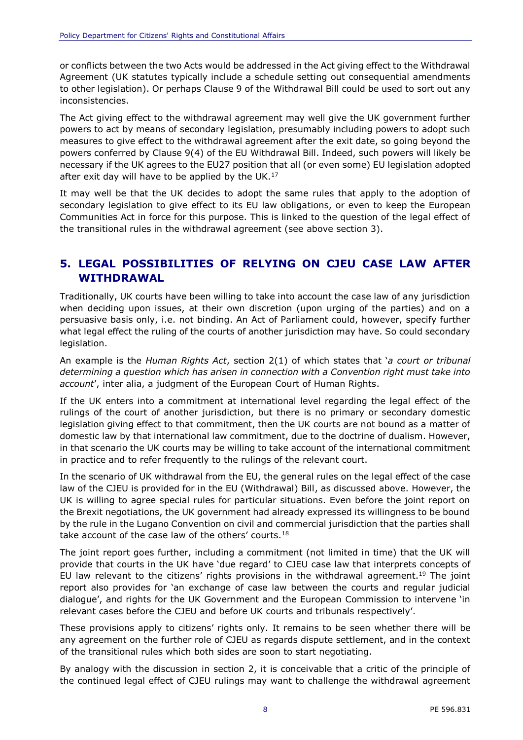or conflicts between the two Acts would be addressed in the Act giving effect to the Withdrawal Agreement (UK statutes typically include a schedule setting out consequential amendments to other legislation). Or perhaps Clause 9 of the Withdrawal Bill could be used to sort out any inconsistencies.

The Act giving effect to the withdrawal agreement may well give the UK government further powers to act by means of secondary legislation, presumably including powers to adopt such measures to give effect to the withdrawal agreement after the exit date, so going beyond the powers conferred by Clause 9(4) of the EU Withdrawal Bill. Indeed, such powers will likely be necessary if the UK agrees to the EU27 position that all (or even some) EU legislation adopted after exit day will have to be applied by the UK. $^{17}$ 

It may well be that the UK decides to adopt the same rules that apply to the adoption of secondary legislation to give effect to its EU law obligations, or even to keep the European Communities Act in force for this purpose. This is linked to the question of the legal effect of the transitional rules in the withdrawal agreement (see above section 3).

## **5. LEGAL POSSIBILITIES OF RELYING ON CJEU CASE LAW AFTER WITHDRAWAL**

Traditionally, UK courts have been willing to take into account the case law of any jurisdiction when deciding upon issues, at their own discretion (upon urging of the parties) and on a persuasive basis only, i.e. not binding. An Act of Parliament could, however, specify further what legal effect the ruling of the courts of another jurisdiction may have. So could secondary legislation.

An example is the *Human Rights Act*, section 2(1) of which states that '*a court or tribunal determining a question which has arisen in connection with a Convention right must take into account*', inter alia, a judgment of the European Court of Human Rights.

If the UK enters into a commitment at international level regarding the legal effect of the rulings of the court of another jurisdiction, but there is no primary or secondary domestic legislation giving effect to that commitment, then the UK courts are not bound as a matter of domestic law by that international law commitment, due to the doctrine of dualism. However, in that scenario the UK courts may be willing to take account of the international commitment in practice and to refer frequently to the rulings of the relevant court.

In the scenario of UK withdrawal from the EU, the general rules on the legal effect of the case law of the CJEU is provided for in the EU (Withdrawal) Bill, as discussed above. However, the UK is willing to agree special rules for particular situations. Even before the joint report on the Brexit negotiations, the UK government had already expressed its willingness to be bound by the rule in the Lugano Convention on civil and commercial jurisdiction that the parties shall take account of the case law of the others' courts.<sup>18</sup>

The joint report goes further, including a commitment (not limited in time) that the UK will provide that courts in the UK have 'due regard' to CJEU case law that interprets concepts of EU law relevant to the citizens' rights provisions in the withdrawal agreement.<sup>19</sup> The joint report also provides for 'an exchange of case law between the courts and regular judicial dialogue', and rights for the UK Government and the European Commission to intervene 'in relevant cases before the CJEU and before UK courts and tribunals respectively'.

These provisions apply to citizens' rights only. It remains to be seen whether there will be any agreement on the further role of CJEU as regards dispute settlement, and in the context of the transitional rules which both sides are soon to start negotiating.

By analogy with the discussion in section 2, it is conceivable that a critic of the principle of the continued legal effect of CJEU rulings may want to challenge the withdrawal agreement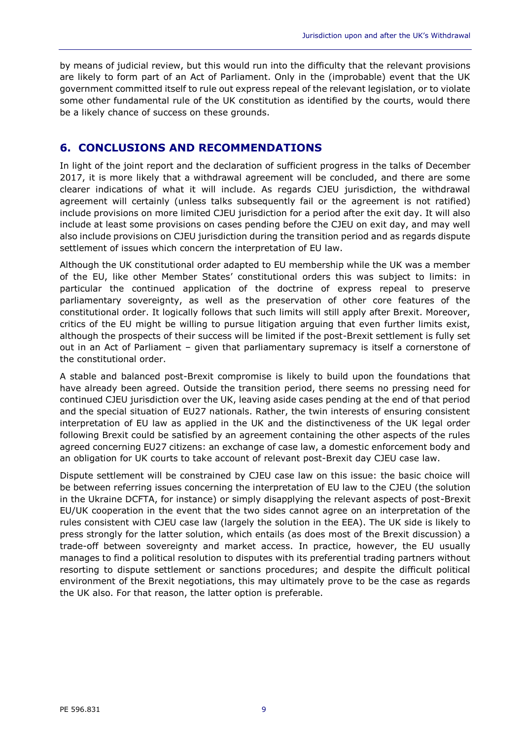by means of judicial review, but this would run into the difficulty that the relevant provisions are likely to form part of an Act of Parliament. Only in the (improbable) event that the UK government committed itself to rule out express repeal of the relevant legislation, or to violate some other fundamental rule of the UK constitution as identified by the courts, would there be a likely chance of success on these grounds.

## **6. CONCLUSIONS AND RECOMMENDATIONS**

In light of the joint report and the declaration of sufficient progress in the talks of December 2017, it is more likely that a withdrawal agreement will be concluded, and there are some clearer indications of what it will include. As regards CJEU jurisdiction, the withdrawal agreement will certainly (unless talks subsequently fail or the agreement is not ratified) include provisions on more limited CJEU jurisdiction for a period after the exit day. It will also include at least some provisions on cases pending before the CJEU on exit day, and may well also include provisions on CJEU jurisdiction during the transition period and as regards dispute settlement of issues which concern the interpretation of EU law.

Although the UK constitutional order adapted to EU membership while the UK was a member of the EU, like other Member States' constitutional orders this was subject to limits: in particular the continued application of the doctrine of express repeal to preserve parliamentary sovereignty, as well as the preservation of other core features of the constitutional order. It logically follows that such limits will still apply after Brexit. Moreover, critics of the EU might be willing to pursue litigation arguing that even further limits exist, although the prospects of their success will be limited if the post-Brexit settlement is fully set out in an Act of Parliament – given that parliamentary supremacy is itself a cornerstone of the constitutional order.

A stable and balanced post-Brexit compromise is likely to build upon the foundations that have already been agreed. Outside the transition period, there seems no pressing need for continued CJEU jurisdiction over the UK, leaving aside cases pending at the end of that period and the special situation of EU27 nationals. Rather, the twin interests of ensuring consistent interpretation of EU law as applied in the UK and the distinctiveness of the UK legal order following Brexit could be satisfied by an agreement containing the other aspects of the rules agreed concerning EU27 citizens: an exchange of case law, a domestic enforcement body and an obligation for UK courts to take account of relevant post-Brexit day CJEU case law.

Dispute settlement will be constrained by CJEU case law on this issue: the basic choice will be between referring issues concerning the interpretation of EU law to the CJEU (the solution in the Ukraine DCFTA, for instance) or simply disapplying the relevant aspects of post-Brexit EU/UK cooperation in the event that the two sides cannot agree on an interpretation of the rules consistent with CJEU case law (largely the solution in the EEA). The UK side is likely to press strongly for the latter solution, which entails (as does most of the Brexit discussion) a trade-off between sovereignty and market access. In practice, however, the EU usually manages to find a political resolution to disputes with its preferential trading partners without resorting to dispute settlement or sanctions procedures; and despite the difficult political environment of the Brexit negotiations, this may ultimately prove to be the case as regards the UK also. For that reason, the latter option is preferable.